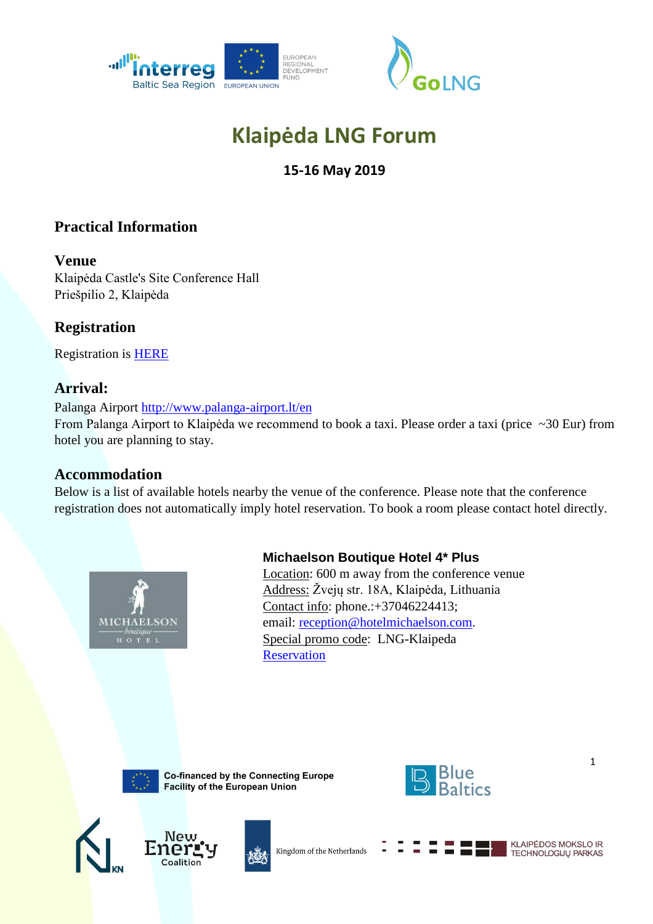



# **Klaipėda LNG Forum**

# **15-16 May 2019**

# **Practical Information**

#### **Venue**

Klaipėda Castle's Site Conference Hall Priešpilio 2, Klaipėda

# **Registration**

Registration is [HERE](https://docs.google.com/forms/d/1uHjU4CKiiiQiCafYKSIoujIJk_9IBtqQxWydtbpAnFc/edit)

## **Arrival:**

Palanga Airport<http://www.palanga-airport.lt/en> From Palanga Airport to Klaipėda we recommend to book a taxi. Please order a taxi (price ~30 Eur) from hotel you are planning to stay.

## **Accommodation**

Below is a list of available hotels nearby the venue of the conference. Please note that the conference registration does not automatically imply hotel reservation. To book a room please contact hotel directly.



## **Michaelson Boutique Hotel 4\* Plus**

Location: 600 m away from the conference venue Address: Žvejų str. 18A, Klaipėda, Lithuania Contact info: phone.:+37046224413; email: [reception@hotelmichaelson.com.](mailto:reception@hotelmichaelson.com) Special promo code: LNG-Klaipeda **[Reservation](http://hotelmichaelson.com/reservation)** 



Co-financed by the Connecting Europe Facility of the European Union









Kingdom of the Netherlands

**KLAIPĖDOS MOKSLO IR** TECHNOLOGIJŲ PARKAS

1